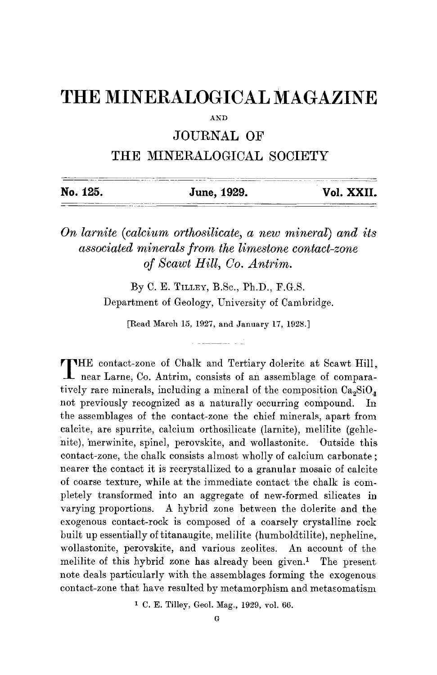## **THE MINERALOGICAL MAGAZINE**

 $AND$ 

## JOURNAL OF

## THE MINERALOGICAL SOCIETY

| No. 125. | June, 1929. | Vol. XXII. |
|----------|-------------|------------|
|          |             |            |

## *On larnite (calcium orthosilicate, a new mineral) and its associated minerals from the limestone contact-zone of Scawt Hill, Co. Antrim.*

By C. E. TILLEY, B.Sc., Ph.D., F.G.S. Department of Geology, University of Cambridge.

[Read March 15, 1927, and January 17, 1928.]

**T** HE contact-zone of Chalk and Tertiary dolerite at Scawt Hill, near Larne, Co. Antrim, consists of an assemblage of comparatively rare minerals, including a mineral of the composition  $Ca<sub>9</sub>SiO<sub>4</sub>$ not previously recognized as a naturally occurring compound. In the assemblages of the contact-zone the chief minerals, apart from calcite, are spurrite, calcium orthosilieate (larnite), melilite (gehlenite), merwinite, spinel, perovskite, and wollastonite. Outside this contact-zone, the chalk consists almost wholly of calcium carbonate ; nearer the contact it is recrystallized to a granular mosaic of calcite of coarse texture, while at the immediate contact the chalk is completely transformed into an aggregate of new-formed silicates in varying proportions. A hybrid zone between the dolerite and the exogenous contact-rock is composed Of a coarsely crystalline rock built up essentially of titanaugite, melilite (humboldtilite), nepheline, wollastonite, perovskite, and various zeolites. An account of the melilite of this hybrid zone has already been given.<sup>1</sup> The present note deals particularly with the assemblages forming the exogenous contact-zone that have resulted by metamorphism and metasomatism

1 C. E. Tilley, Geol. Mag., 1929, vol. 66.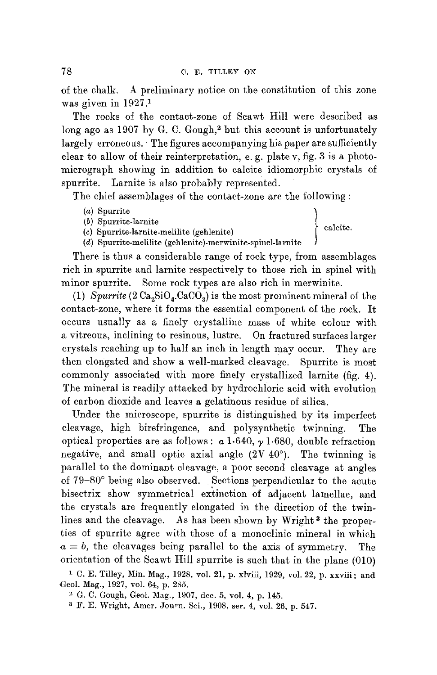of the chalk. A preliminary notice on the constitution of this zone was given in 1927.1

The rocks of the contact-zone of Scawt Hill were described as long ago as 1907 by G. C. Gough, $2$  but this account is unfortunately largely erroneous. The figures accompanying his paper are sufficiently clear to allow of their reinterpretation, e. g. plate v, fig. 3 is a photomierograph showing in addition to calcite idiomorphic crystals of spurrite. Larnite is also probably represented.

The chief assemblages of the contact-zone are the following :

- 
- $(b)$  Spurrite-larnite
- (a) Spurrite larnite<br>
(b) Spurrite-larnite<br>
(b) Spurrite-larnite malilita (cablenita) (calcite.  $(c)$  Spurrite-larnite-melilite (gehlenite) (d) Spurrite-melilite (gehlenite)-merwinite-spinel-larnite **)**

There is thus a considerable range of rock type, from assemblages rich in spurrite and larnite respectively to those rich in spinel with minor spurrite. Some rock types are also rich in merwinite.

(1)  $Spurrite$  (2  $Ca<sub>2</sub>SiO<sub>4</sub> CaCO<sub>3</sub>$ ) is the most prominent mineral of the contact-zone, where it forms the essential component of the rock. It occurs usually as a finely crystalline mass of white colour with a vitreous, inclining to resinous, lustre. On fractured surfaces larger crystals reaching up to half an inch in length may occur. They are then elongated and show a well-marked cleavage. Spurrite is most commonly associated with more finely crystallized larnite (fig. 4). The mineral is readily attacked by hydrochloric acid with evolution of carbon dioxide and leaves a gelatinous residue of silica.

Under the microscope, spurrite is distinguished by its imperfect cleavage, high bireffingence, and polysynthetic twinning. The optical properties are as follows:  $\alpha$  1.640,  $\gamma$  1.680, double refraction negative, and small optic axial angle  $(2V 40^{\circ})$ . The twinning is parallel to the dominant cleavage, a poor second cleavage at angles of 79-80° being also observed. Sections perpendicular to the acute bisectrix show symmetrical extinction of adjacent lamellae, and the crystals are frequently elongated in the direction of the twinlines and the cleavage. As has been shown by Wright 3 the properties of spurrite agree with those of a monoelinic mineral in which  $a = b$ , the cleavages being parallel to the axis of symmetry. The orientation of the Scawt Hill spurrite is such that in the plane (010)

1 C. E. Tilley, Min. Mag., 1928, vol. 21, p. xlviii, 1929, vol. 22, p. xxviii ; and Geol. Mag., 1927, vol. 64, p. 285.

<sup>2</sup> G. C. Gough, Geol. Mag., 1907, dee. 5, vol. 4, p. 145.

<sup>3</sup> F. E. Wright, Amer. Journ. Sei., 1908, ser. 4, vol. 26, p. 547.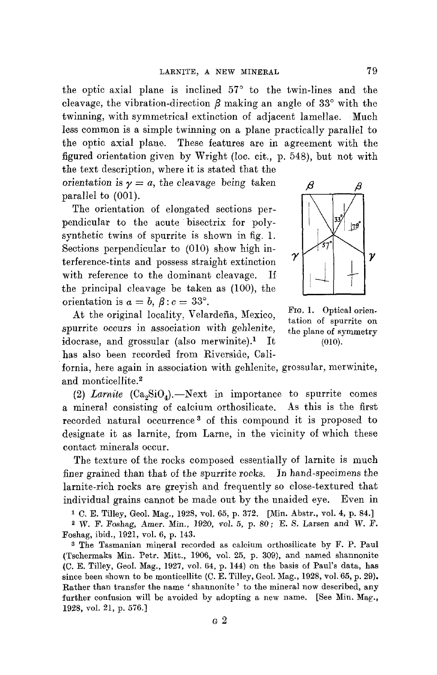the optic axial plane is inclined  $57^\circ$  to the twin-lines and the cleavage, the vibration-direction  $\beta$  making an angle of 33 $^{\circ}$  with the twinning, with symmetrical extinction of adjacent lamellae. Much less common is a simple twinning on a plane practically parallel to the optic axial plane. These features are in agreement with the figured orientation given by Wright (loc. cit., p. 548), but not with

the text description, where it is stated that the orientation is  $\gamma = a$ , the cleavage being taken  $\beta$ parallel to  $(001)$ .

The orientation of elongated sections perpendicular to the acute bisectrix for polysynthetic twins of spurrite is shown in fig. 1. Sections perpendicular to (010) show high interference-tints and possess straight extinction  $\gamma$   $\gamma$ with reference to the dominant cleavage. If the principal cleavage be taken as (100), the orientation is  $a = b$ ,  $\beta$  :  $c = 33^{\circ}$ .

At the original locality, Velardeña, Mexico, FIG. 1. Optical orienspurrite occurs in association with gehlenite, the plane of symmetry idocrase, and grossular (also merwinite).<sup>1</sup> It  $(010)$ . has also been recorded from Riverside, Call-



ration of spurrite on

fornia, here again in association with gehlenite, grossular, merwinite, and monticellite.<sup>2</sup>

(2) *Larnite*  $(Ca, SiO<sub>4</sub>)$ . Next in importance to spurrite comes a mineral consisting of calcium orthosilicate. As this is the first recorded natural occurrence<sup>3</sup> of this compound it is proposed to designate it as larnite, from Larne, in the vicinity of which these contact minerals occur.

The texture of the rocks composed essentially of larnite is much finer grained than that of the spurrite rocks. In hand-specimens the larnite-rich rocks are greyish and frequently so close-textured that individual grains cannot be made out by the unaided eye. Even in

1 C. E. Tilley, Geol. Mag., 1928, vol. 65, p. 372. [Min. Abstr., vol. 4, p. 84.]

2 W. F. Foshag, Amer. Min., 1920, vol. 5, p. 80; E. S. Larsen and W. F. Foshag, ibid., 1921, vol. 6, p. 143.

a The Tasmanian mineral recorded as calcium orthosilicate by F. P. Paul (Tschermaks Min. Petr. Mitt., 1906, vol. 25, p. 309), and named shannonite (C. E. Tilley, Geol. Mag., 1927, vol. 64, p. 144) on the basis of Paul's data, has since been shown to be monticellite  $(C. E. T\ddot{\text{m}})$ . Geol. Mag., 1928, vol. 65, p. 29). Rather than transfer the name ' shannonite ' to the mineral now described, any further confusion will be avoided by adopting a new name. [See Min. Mag., 1928, vol. 21, p. 576.]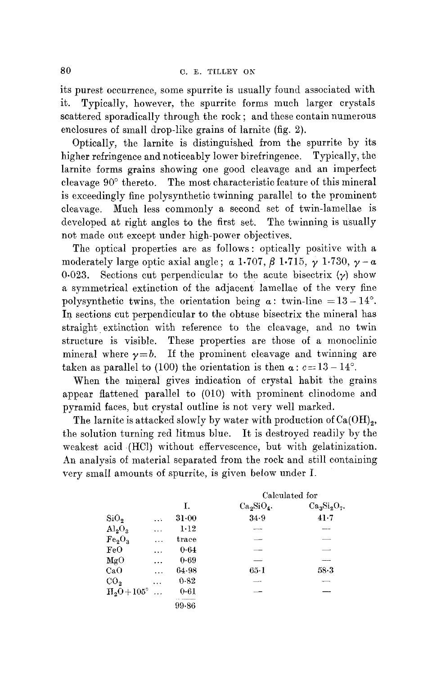its purest occurrence, some spurrite is usually found associated with it. Typically, however, the spurrite forms much larger crystals scattered sporadically through the rock ; and these contain numerous enclosures of smalI drop-like grains of larnite (fig. 2).

Optically, the ]arnite is distinguished from the spurrite by its higher refringence and noticeably lower birefringence. Typically, the larnite forms grains showing one good cleavage and an imperfect cleavage  $90^\circ$  thereto. The most characteristic feature of this mineral is exceedingly fine polysynthetic twinning parallel to the prominent cleavage. Much less commonly a second set of twin-lamellae is developed at right angles to the first set. The twinning is usually not made out except under high-power objectives.

The optical properties are as follows: optically positive with a moderately large optic axial angle;  $\alpha$  1.707,  $\beta$  1.715,  $\gamma$  1.730,  $\gamma - \alpha$ 0.023. Sections cut perpendicular to the acute bisectrix  $(y)$  show a symmetrical extinction of the adjacent lamellae of the very fine polysynthetic twins, the orientation being  $\alpha$ : twin-line =13-14°. In sections cut perpendicular to the obtuse bisectrix the mineral has straight extinction with reference to the cleavage, and no twin structure is visible. These properties are those of a monoclinic mineral where  $y=b$ . If the prominent cleavage and twinning are taken as parallel to (100) the orientation is then  $\alpha$ :  $c=13-14^{\circ}$ .

When the mineral gives indication of crystal habit the grains appear flattened parallel to (010) with prominent clinodome and pyramid faces, but crystal outline is not very well marked.

The larnite is attacked slowly by water with production of  $Ca(OH)_{2}$ , the solution turning red litmus blue. It is destroyed readily by the weakest acid (HCI) without effervescence, but with gelatinization. An analysis of material separated from the rock and still containing very small amounts of spurrite, is given below under I.

|                                |           |           | Calculated for |              |  |
|--------------------------------|-----------|-----------|----------------|--------------|--|
|                                |           | Ι.        | $Ca2SiO4$ .    | $Ca3Si2O7$ . |  |
| SiO <sub>2</sub>               | $\ddotsc$ | $31 - 00$ | 34.9           | 41.7         |  |
| $\text{Al}_2\text{O}_3$        | $\cdots$  | 1.12      |                |              |  |
| Fe <sub>2</sub> O <sub>3</sub> |           | trace     |                |              |  |
| FeO                            | .         | 0.64      |                |              |  |
| $_{\text{MgO}}$                | .         | 0.69      |                | -----        |  |
| CaO                            | $\cdots$  | 64.98     | 65-1           | 58.3         |  |
| CO <sub>2</sub>                | .         | 0.82      |                | --           |  |
| $H2O+105^{\circ}$              | .         | 0.61      |                |              |  |
|                                |           | 99.86     |                |              |  |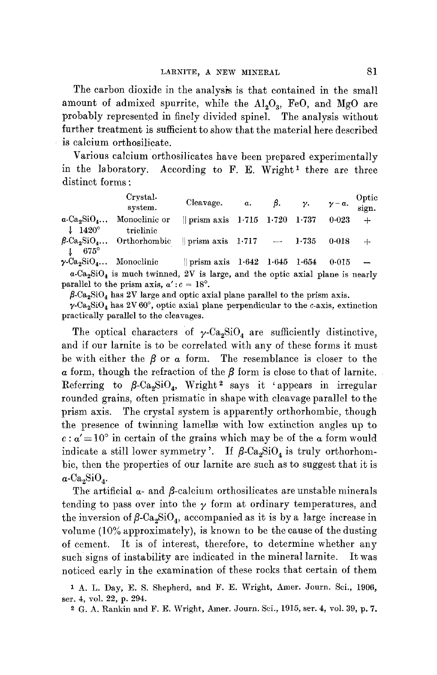The carbon dioxide in the analysis is that contained in the small amount of admixed spurrite, while the  $Al_2O_3$ , FeO, and MgO are probably represented in finely divided spinel. The analysis without further treatment is sufficient to show that the material here described is calcium orthosilicatc.

Various calcium orthosilicates have been prepared experimentally in the laboratory. According to  $F$ . E. Wright<sup>1</sup> there are three distinct forms :

|                                                                            | Crystal<br>system.                                                                                                                                     | Cleavage.                                | $\alpha$ . | $\beta$ . | $\gamma$ . | $\gamma - \alpha$ . | Optic<br>sign.               |
|----------------------------------------------------------------------------|--------------------------------------------------------------------------------------------------------------------------------------------------------|------------------------------------------|------------|-----------|------------|---------------------|------------------------------|
| $\alpha$ -Ca <sub>2</sub> SiO <sub>4</sub><br>$\downarrow$ 1420 $^{\circ}$ | Monoclinic or<br>triclinic                                                                                                                             | $\parallel$ prism axis 1.715 1.720 1.737 |            |           |            | 0.023               | $+$                          |
| $675^\circ$                                                                | $\beta$ -Ca <sub>2</sub> SiO <sub>4</sub> Orthorhombic    prism axis 1.717 - 1.735                                                                     |                                          |            |           |            | 0.018               | $+$                          |
|                                                                            | $\gamma$ -Ca <sub>2</sub> SiO <sub>4</sub> Monoclinic                                                                                                  | prism axis $1.642$ $1.645$ $1.654$       |            |           |            | 0.015               | $\overbrace{\phantom{aaaa}}$ |
|                                                                            | $\alpha$ -Ca <sub>2</sub> SiO <sub>4</sub> is much twinned, 2V is large, and the optic axial plane is nearly<br>nanallal to the number $\frac{100}{2}$ |                                          |            |           |            |                     |                              |

parallel to the prism axis,  $\alpha': c = 18^\circ$ .  $\beta$ -Ca<sub>2</sub>SiO<sub>4</sub> has 2V large and optic axial plane parallel to the prism axis.

 $\gamma$ -Ca<sub>2</sub>SiO<sub>4</sub> has 2V 60°, optic axial plane perpendicular to the c-axis, extinction practically parallel to the cleavages.

The optical characters of  $\gamma$ -Ca<sub>2</sub>SiO<sub>4</sub> are sufficiently distinctive, and if our larnite is to be correlated with any of these forms it must be with either the  $\beta$  or a form. The resemblance is closer to the  $\alpha$  form, though the refraction of the  $\beta$  form is close to that of larnite. Referring to  $\beta$ -Ca<sub>2</sub>SiO<sub>4</sub>, Wright<sup>2</sup> says it 'appears in irregular rounded grains, often prismatic in shape with cleavage parallel to the prism axis. The crystal system is apparently orthorhombic, though the presence of twinning lamellæ with low extinction angles up to  $c: \alpha' = 10^{\circ}$  in certain of the grains which may be of the  $\alpha$  form would indicate a still lower symmetry'. If  $\beta$ -Ca<sub>2</sub>SiO<sub>4</sub> is truly orthorhombic, then the properties of our larnite are such as to suggest that it is  $\alpha$ -Ca<sub>2</sub>SiO<sub>4</sub>.

The artificial  $\alpha$ - and  $\beta$ -calcium orthosilicates are unstable minerals tending to pass over into the  $\gamma$  form at ordinary temperatures, and the inversion of  $\beta$ -Ca<sub>2</sub>SiO<sub>4</sub>, accompanied as it is by a large increase in volume (10% approximately), is known to be the cause of the dusting of cement. It is of interest, therefore, to determine whether any such signs of instability are indicated in the mineral larnite. It was noticed early in the examination of these rocks that certain of them

<sup>1</sup> A. L. Day, E. S. Shepherd, and F. E. Wright, Amer. Journ. Sci., 1906, ser. 4, vol. 22, p. 294.

<sup>2</sup> G. A. Rankin and F. E. Wright, Amer. Journ. Sci., 1915, ser. 4, vol. 39, p. 7.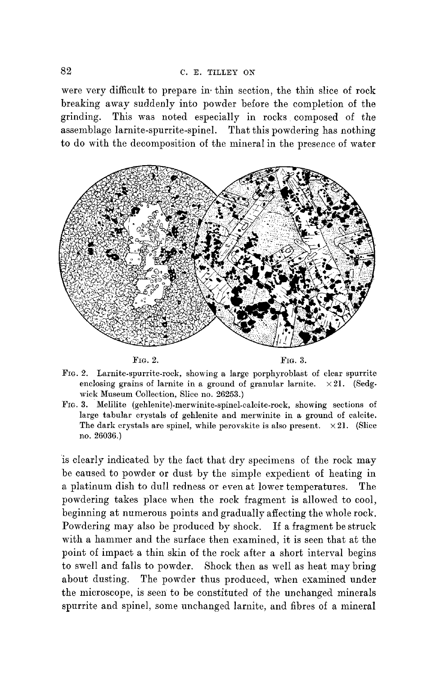were very difficult to prepare in thin section, the thin slice of rock breaking away suddenly into powder before the completion of the grinding. This was noted especially in rocks composed of the assemblage larnite-spurrite-spinel. That this powdering has nothing to do with the decomposition of the mineral in the presence of water





- FIG. 2. Larnite-spurrite-rock, showing a large porphyroblast of clear spurrite enclosing grains of larnite in a ground of granular larnite.  $\times 21$ . (Sedgwick Museum Collection, Slice no. 26253.)
- FIG. 3. Melilite (gehlenite)-merwinite-spinel-calcite-rock , showing sections of large tabular crystals of gehlenite and merwinite in a ground of calcite. The dark crystals are spinel, while perovskite is also present.  $\times 21$ . (Slice no. 26036.)

is clearly indicated by the fact that dry specimens of the rock may be caused to powder or dust by the simple expedient of heating in a platinum dish to dull redness or even at lower temperatures. The powdering takes place when the rock fragment is allowed to cool, beginning at numerous points and gradually affecting the whole rock. Powdering may also be produced by shock. If a fragment be struck with a hammer and the surface then examined, it is seen that at the point of impact a thin skin of the rock after a short interval begins to swell and falls to powder. Shock then as well as heat may bring about dusting. The powder thus produced, when examined under the microscope, is seen to be constituted of the unchanged minerals spurrite and spinel, some unchanged larnite, and fibres of a mineral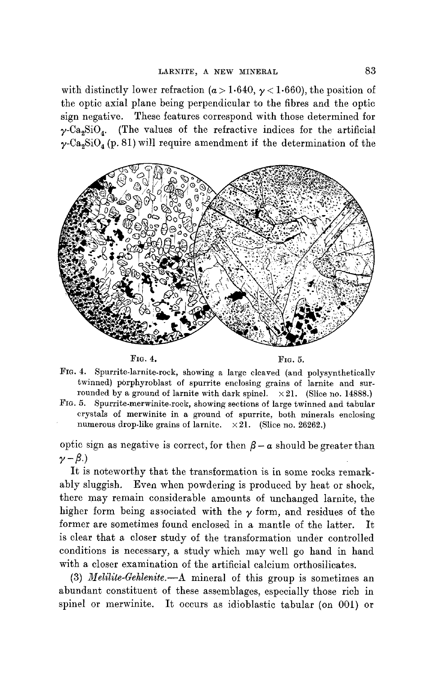with distinctly lower refraction ( $\alpha > 1.640$ ,  $\gamma < 1.660$ ), the position of the optic axial plane being perpendicular to the fibres and the optic sign negative. These features correspond with those determined for  $\gamma$ -Ca<sub>2</sub>SiO<sub>4</sub>. (The values of the refractive indices for the artificial  $\gamma$ -Ca<sub>3</sub>SiO<sub>4</sub> (p. 81) will require amendment if the determination of the



FIG. 4. FIG. 5.

- FIa. 4. Spurrite-larnite-rock, showing a large cleaved (and polysynthetically twinned) porphyroblast of spurrite enclosing grains of larnite and surrounded by a ground of larnite with dark spinel.  $\times 21$ . (Slice no. 14888.)
- FIG. 5. Spurrite-merwinite-roek, showing sections of large twinned and tabular crystals of merwinite in a ground of spurrite, both minerals enclosing numerous drop-like grains of larnite.  $\times 21$ . (Slice no. 26262.)

optic sign as negative is correct, for then  $\beta - \alpha$  should be greater than  $\nu - \beta$ .)

It is noteworthy that the transformation is in some rocks remarkably sluggish. Even when powdering is produced by heat or shock, there may remain considerable amounts of unchanged larnite, the higher form being associated with the  $\nu$  form, and residues of the former are sometimes found enclosed in a mantle of the latter. It is clear that a closer study of the transformation under controlled conditions is necessary, a study which may well go hand in hand with a closer examination of the artificial calcium orthosilicates.

(3) *Melilite-Gehlenite.--A* mineral of this group is sometimes an abundant constituent of these assemblages, especially those rich in spinel or merwinite. It occurs as idioblastic tabular (on 001) or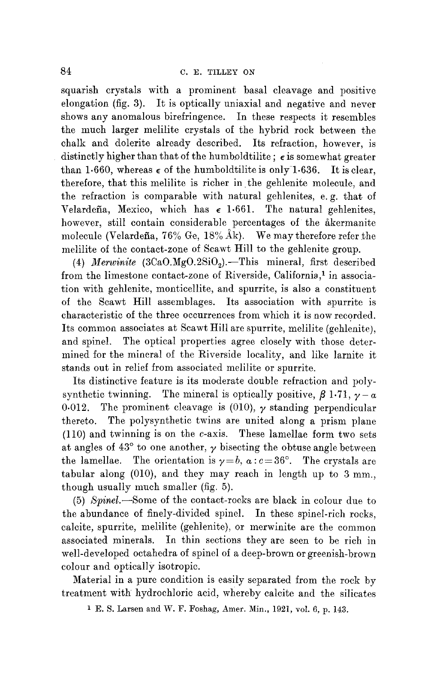squarish crystals with a prominent basal cleavage and positive elongation (fig. 3). It is optically uniaxial and negative and never shows any anomalous birefringence. In these respects it resembles the much larger melilite crystals of the hybrid rock between the chalk and dolerite already described. Its refraction, however, is distinctly higher than that of the humboldtilite;  $\epsilon$  is somewhat greater than 1.660, whereas  $\epsilon$  of the humboldtilite is only 1.636. It is clear, therefore, that this melilite is richer in.the gehlenite molecule, and the refraction is comparable with natural gehlenites, e.g. that of Velardeña, Mexico, which has  $\epsilon$  1.661. The natural gehlenites, however, still contain considerable percentages of the akermanite molecule (Velardeña, 76% Ge, 18% Åk). We may therefore refer the mclilite of the contact-zone of Scawt Hill to the gehlenite group.

(4) *Merwinite*  $(3CaO.MgO.2SiO<sub>2</sub>)$ . This mineral, first described from the limestone contact-zone of Riverside, California.<sup>1</sup> in association with gehlenite, monticellite, and spurrite, is also a constituent of the Scawt Hill assemblages. Its association with spurrite is characteristic of the three occurrences from which it is now recorded. Its common associates at Scawt Hill are spurrite, melilite (gehlenite), and spinel. The optical properties agree closely with those determined for the mineral of the Riverside locality, and like larnite it stands out in relief from associated melilite or spurrite.

Its distinctive feature is its moderate double refraction and polysynthetic twinning. The mineral is optically positive,  $\beta$  1.71,  $\gamma - \alpha$ 0.012. The prominent cleavage is (010),  $\gamma$  standing perpendicular thereto. The polysynthetic twins are united along a prism plane (110) and twinning is on the c-axis. These lamellae form two sets at angles of  $43^{\circ}$  to one another,  $\gamma$  bisecting the obtuse angle between the lamellae. The orientation is  $y=b$ ,  $a: c=36^{\circ}$ . The crystals are tabular along  $(010)$ , and they may reach in length up to 3 mm., though usually much smaller (fig. 5).

(5) *Spinel.*-Some of the contact-rocks are black in colour due to the abundance of finely-divided spinel. In these spinel-rich rocks, calcite, spurrite, melilite (gehlenite), or merwinite are the common associated minerals. In thin sections they are seen to be rich in well-developed octahedra of spinel of a deep-brown or greenish-brown colour and optically isotropie.

Material in a pure condition is easily separated from the rock by treatment with hydrochloric acid, whereby calcite and the silicates

1 E. S. Larsen and W. F. Foshag, Amer. Min., 1921, vol. 6, p. 143.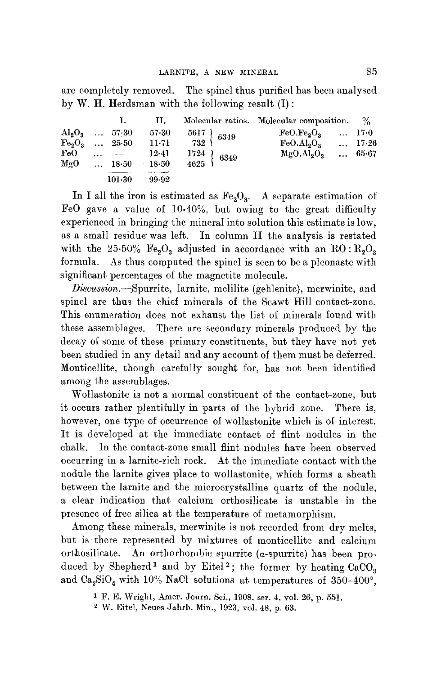are completely removed. The spinel thus purified has been analysed by W. H. Herdsman with the following result (I) :

|                 |                | п.        |                                                                                             | Molecular ratios. Molecular composition. $\%$ |       |
|-----------------|----------------|-----------|---------------------------------------------------------------------------------------------|-----------------------------------------------|-------|
| $Al_2O_3$ 57.30 |                | 57.30     | $\begin{array}{c} 5617 \ 732 \end{array} \left\{ \begin{array}{c} 6349 \end{array} \right.$ | $FeO. Fe9O2$ 17.0                             |       |
| $Fe_2O_3$ 25.50 | 11.71          |           | $FeO. Al2O3$ 17.26                                                                          |                                               |       |
| FeO             | $\cdots$ $-$   | 12-41     | $\begin{array}{c} 1724 \\ 4625 \end{array}$ 6349                                            | MgO.Al <sub>2</sub> O <sub>3</sub>            | 65.67 |
| $_{\rm MgO}$    | $\ldots$ 18.50 | $18 - 50$ |                                                                                             |                                               |       |
|                 | $101-30$       | 99.92     |                                                                                             |                                               |       |

In I all the iron is estimated as  $Fe<sub>2</sub>O<sub>3</sub>$ . A separate estimation of FeO gave a value of 10.10%, but owing to the great difficulty experienced in bringing the mineral into solution this estimate is low, as a small residue'was left. In column II the analysis is restated with the 25.50%  $Fe<sub>2</sub>O<sub>3</sub>$  adjusted in accordance with an RO:  $R<sub>2</sub>O<sub>3</sub>$ formula. As thus computed the spinel is seen to be a pleonaste with significant percentages of the magnetite molecule.

*Discussion.*-Spurrite, larnite, melilite (gehlenite), merwinite, and spinel are thus the chief minerals of the Scawt Hill contact-zone. This enumeration does not exhaust the list of minerals found with these assemblages. There are secondary minerals produced by the decay of some of these primary constituents, but they have not yet been studied in any detail and any account of them must be deferred. Monticellite, though carefully sought for, has not been identified among the assemblages.

Wollastonite is not a normal constituent of the contact-zone, but it occurs rather plentifully in parts of the hybrid zone. There is, however, one type of occurrence of wollastonite which is of interest. It is developed at the immediate contact of flint nodules in the chalk. In the contact-zone small flint nodules have been observed occurring in a larnite-rich rock. At the immediate contact with the nodule the larnite gives place to wollastonite, which forms a sheath between the larnite and the microcrystalline quartz of the nodule, a clear indication that calcium orthosilicate is unstable in the presence of free silica at the temperature of metamorphism.

Among these minerals, merwinite is not recorded from dry melts, but is there represented by mixtures of monticellite and calcium orthosilicate. An orthorhombic spurrite  $(a\text{-spurrite})$  has been produced by Shepherd<sup>1</sup> and by Eitel<sup>2</sup>; the former by heating  $CaCO<sub>3</sub>$ and Ca<sub>2</sub>SiO<sub>4</sub> with 10% NaCl solutions at temperatures of 350-400°,

<sup>1</sup> F. E. Wright, Amer. Journ. Sci., 1908, ser. 4, vol. 26, p. 551.

W. Eitel, Neues Jahrb. Min., 1923, vol. 48, p. 63.